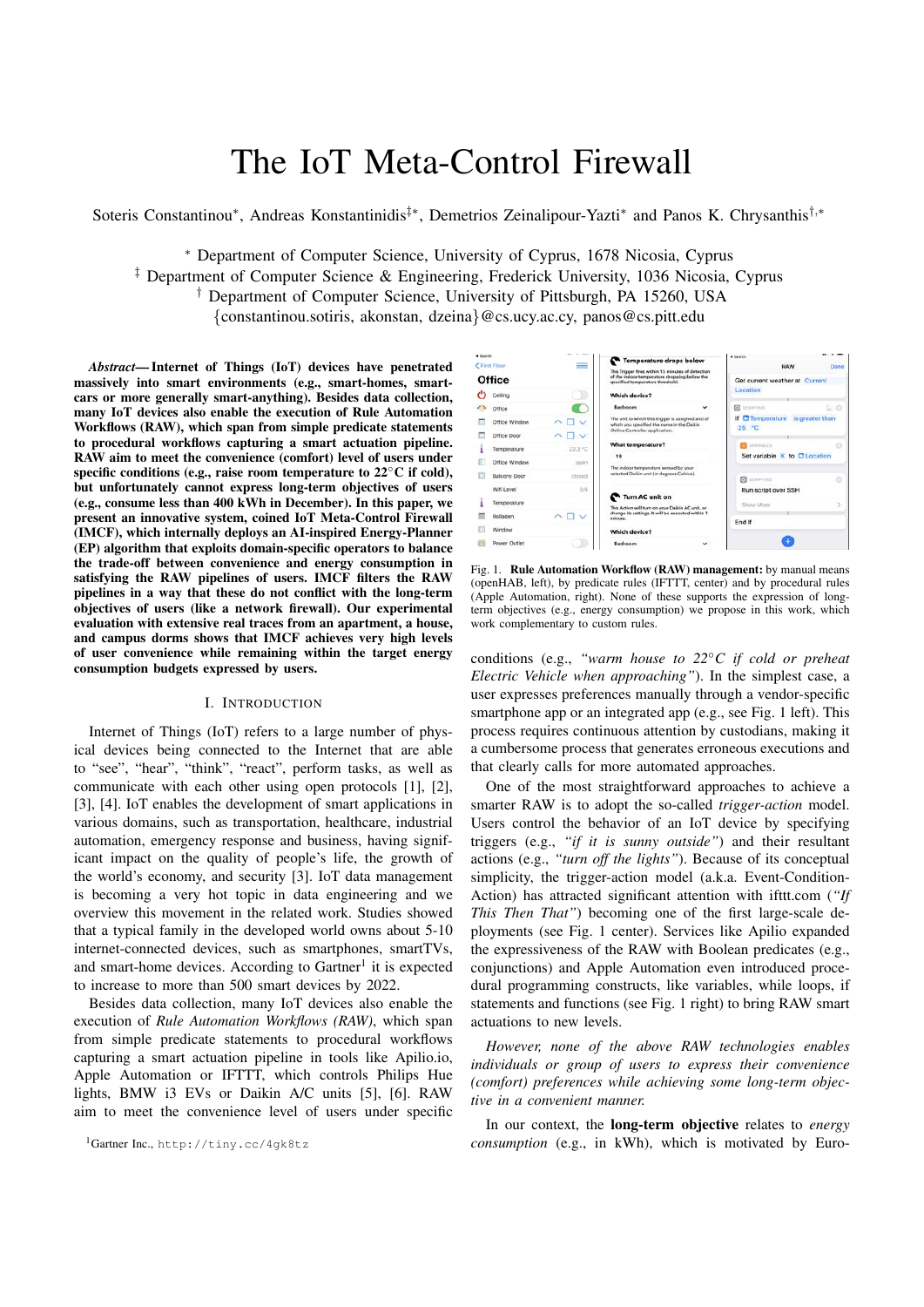# The IoT Meta-Control Firewall

Soteris Constantinou<sup>\*</sup>, Andreas Konstantinidis<sup>†</sup><sup>\*</sup>, Demetrios Zeinalipour-Yazti<sup>\*</sup> and Panos K. Chrysanthis<sup>†</sup><sup>*,*\*</sup>

⇤ Department of Computer Science, University of Cyprus, 1678 Nicosia, Cyprus

*‡* Department of Computer Science & Engineering, Frederick University, 1036 Nicosia, Cyprus

*†* Department of Computer Science, University of Pittsburgh, PA 15260, USA

*{*constantinou.sotiris, akonstan, dzeina*}*@cs.ucy.ac.cy, panos@cs.pitt.edu

*Abstract*— Internet of Things (IoT) devices have penetrated massively into smart environments (e.g., smart-homes, smartcars or more generally smart-anything). Besides data collection, many IoT devices also enable the execution of Rule Automation Workflows (RAW), which span from simple predicate statements to procedural workflows capturing a smart actuation pipeline. RAW aim to meet the convenience (comfort) level of users under specific conditions (e.g., raise room temperature to  $22^{\circ}$ C if cold), but unfortunately cannot express long-term objectives of users (e.g., consume less than 400 kWh in December). In this paper, we present an innovative system, coined IoT Meta-Control Firewall (IMCF), which internally deploys an AI-inspired Energy-Planner (EP) algorithm that exploits domain-specific operators to balance the trade-off between convenience and energy consumption in satisfying the RAW pipelines of users. IMCF filters the RAW pipelines in a way that these do not conflict with the long-term objectives of users (like a network firewall). Our experimental evaluation with extensive real traces from an apartment, a house, and campus dorms shows that IMCF achieves very high levels of user convenience while remaining within the target energy consumption budgets expressed by users.

### I. INTRODUCTION

Internet of Things (IoT) refers to a large number of physical devices being connected to the Internet that are able to "see", "hear", "think", "react", perform tasks, as well as communicate with each other using open protocols [1], [2], [3], [4]. IoT enables the development of smart applications in various domains, such as transportation, healthcare, industrial automation, emergency response and business, having significant impact on the quality of people's life, the growth of the world's economy, and security [3]. IoT data management is becoming a very hot topic in data engineering and we overview this movement in the related work. Studies showed that a typical family in the developed world owns about 5-10 internet-connected devices, such as smartphones, smartTVs, and smart-home devices. According to  $Gartner<sup>1</sup>$  it is expected to increase to more than 500 smart devices by 2022.

Besides data collection, many IoT devices also enable the execution of *Rule Automation Workflows (RAW)*, which span from simple predicate statements to procedural workflows capturing a smart actuation pipeline in tools like Apilio.io, Apple Automation or IFTTT, which controls Philips Hue lights, BMW i3 EVs or Daikin A/C units [5], [6]. RAW aim to meet the convenience level of users under specific



Fig. 1. Rule Automation Workflow (RAW) management: by manual means (openHAB, left), by predicate rules (IFTTT, center) and by procedural rules (Apple Automation, right). None of these supports the expression of longterm objectives (e.g., energy consumption) we propose in this work, which work complementary to custom rules.

conditions (e.g., *"warm house to 22C if cold or preheat Electric Vehicle when approaching"*). In the simplest case, a user expresses preferences manually through a vendor-specific smartphone app or an integrated app (e.g., see Fig. 1 left). This process requires continuous attention by custodians, making it a cumbersome process that generates erroneous executions and that clearly calls for more automated approaches.

One of the most straightforward approaches to achieve a smarter RAW is to adopt the so-called *trigger-action* model. Users control the behavior of an IoT device by specifying triggers (e.g., *"if it is sunny outside"*) and their resultant actions (e.g., *"turn off the lights"*). Because of its conceptual simplicity, the trigger-action model (a.k.a. Event-Condition-Action) has attracted significant attention with ifttt.com (*"If This Then That"*) becoming one of the first large-scale deployments (see Fig. 1 center). Services like Apilio expanded the expressiveness of the RAW with Boolean predicates (e.g., conjunctions) and Apple Automation even introduced procedural programming constructs, like variables, while loops, if statements and functions (see Fig. 1 right) to bring RAW smart actuations to new levels.

*However, none of the above RAW technologies enables individuals or group of users to express their convenience (comfort) preferences while achieving some long-term objective in a convenient manner.*

In our context, the long-term objective relates to *energy consumption* (e.g., in kWh), which is motivated by Euro-

<sup>1</sup>Gartner Inc., http://tiny.cc/4gk8tz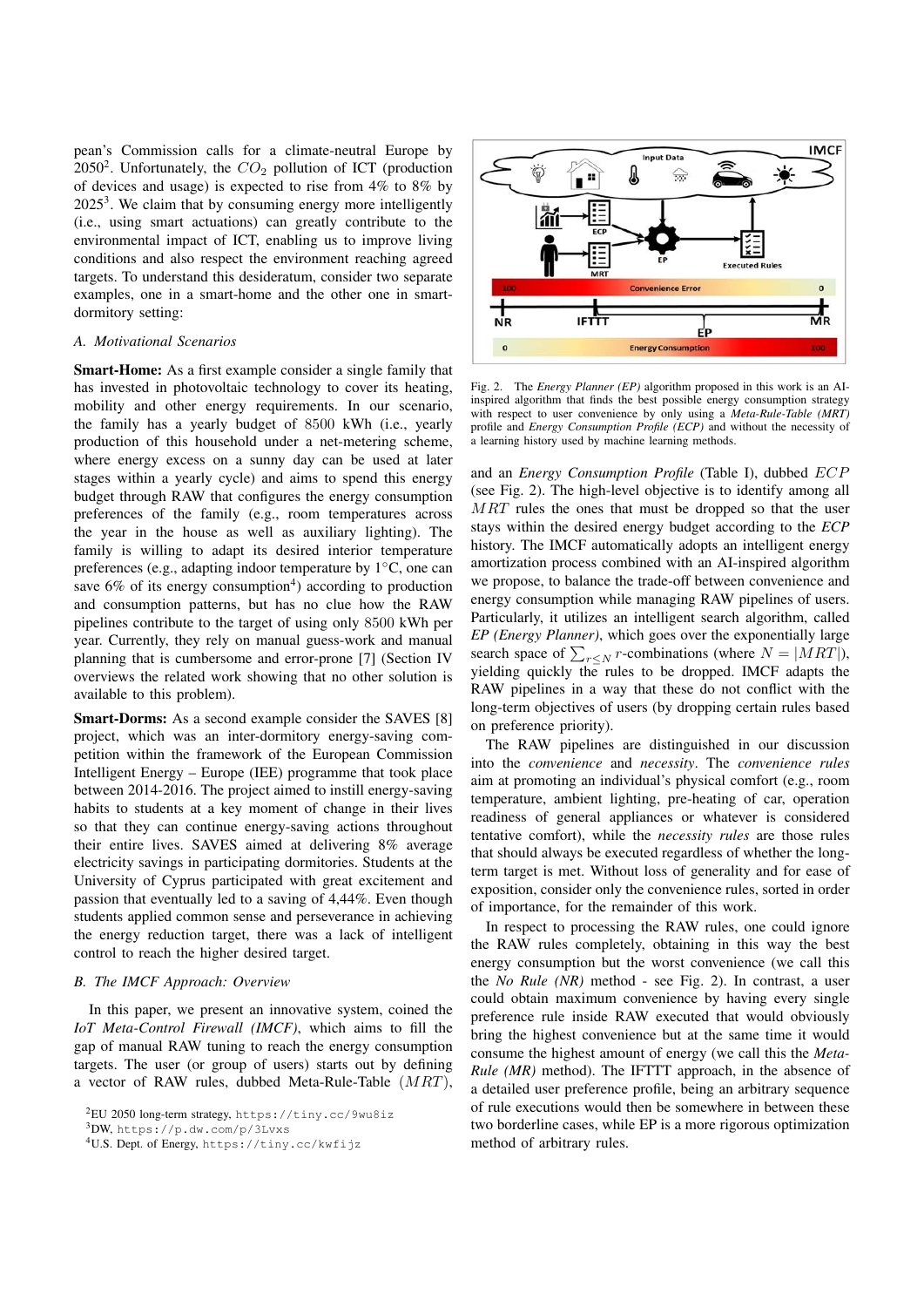pean's Commission calls for a climate-neutral Europe by 20502. Unfortunately, the *CO*<sup>2</sup> pollution of ICT (production of devices and usage) is expected to rise from 4% to 8% by  $2025<sup>3</sup>$ . We claim that by consuming energy more intelligently (i.e., using smart actuations) can greatly contribute to the environmental impact of ICT, enabling us to improve living conditions and also respect the environment reaching agreed targets. To understand this desideratum, consider two separate examples, one in a smart-home and the other one in smartdormitory setting:

#### *A. Motivational Scenarios*

Smart-Home: As a first example consider a single family that has invested in photovoltaic technology to cover its heating, mobility and other energy requirements. In our scenario, the family has a yearly budget of 8500 kWh (i.e., yearly production of this household under a net-metering scheme, where energy excess on a sunny day can be used at later stages within a yearly cycle) and aims to spend this energy budget through RAW that configures the energy consumption preferences of the family (e.g., room temperatures across the year in the house as well as auxiliary lighting). The family is willing to adapt its desired interior temperature preferences (e.g., adapting indoor temperature by  $1^{\circ}$ C, one can save  $6\%$  of its energy consumption<sup>4</sup>) according to production and consumption patterns, but has no clue how the RAW pipelines contribute to the target of using only 8500 kWh per year. Currently, they rely on manual guess-work and manual planning that is cumbersome and error-prone [7] (Section IV overviews the related work showing that no other solution is available to this problem).

Smart-Dorms: As a second example consider the SAVES [8] project, which was an inter-dormitory energy-saving competition within the framework of the European Commission Intelligent Energy – Europe (IEE) programme that took place between 2014-2016. The project aimed to instill energy-saving habits to students at a key moment of change in their lives so that they can continue energy-saving actions throughout their entire lives. SAVES aimed at delivering 8% average electricity savings in participating dormitories. Students at the University of Cyprus participated with great excitement and passion that eventually led to a saving of 4,44%. Even though students applied common sense and perseverance in achieving the energy reduction target, there was a lack of intelligent control to reach the higher desired target.

## *B. The IMCF Approach: Overview*

In this paper, we present an innovative system, coined the *IoT Meta-Control Firewall (IMCF)*, which aims to fill the gap of manual RAW tuning to reach the energy consumption targets. The user (or group of users) starts out by defining a vector of RAW rules, dubbed Meta-Rule-Table (*MRT*),

2EU 2050 long-term strategy, https://tiny.cc/9wu8iz

3DW, https://p.dw.com/p/3Lvxs



Fig. 2. The *Energy Planner (EP)* algorithm proposed in this work is an AIinspired algorithm that finds the best possible energy consumption strategy with respect to user convenience by only using a *Meta-Rule-Table (MRT)* profile and *Energy Consumption Profile (ECP)* and without the necessity of a learning history used by machine learning methods.

and an *Energy Consumption Profile* (Table I), dubbed *ECP* (see Fig. 2). The high-level objective is to identify among all *MRT* rules the ones that must be dropped so that the user stays within the desired energy budget according to the *ECP* history. The IMCF automatically adopts an intelligent energy amortization process combined with an AI-inspired algorithm we propose, to balance the trade-off between convenience and energy consumption while managing RAW pipelines of users. Particularly, it utilizes an intelligent search algorithm, called *EP (Energy Planner)*, which goes over the exponentially large search space of  $\sum_{r \leq N} r$ -combinations (where  $N = |MRT|$ ), yielding quickly the rules to be dropped. IMCF adapts the RAW pipelines in a way that these do not conflict with the long-term objectives of users (by dropping certain rules based on preference priority).

The RAW pipelines are distinguished in our discussion into the *convenience* and *necessity*. The *convenience rules* aim at promoting an individual's physical comfort (e.g., room temperature, ambient lighting, pre-heating of car, operation readiness of general appliances or whatever is considered tentative comfort), while the *necessity rules* are those rules that should always be executed regardless of whether the longterm target is met. Without loss of generality and for ease of exposition, consider only the convenience rules, sorted in order of importance, for the remainder of this work.

In respect to processing the RAW rules, one could ignore the RAW rules completely, obtaining in this way the best energy consumption but the worst convenience (we call this the *No Rule (NR)* method - see Fig. 2). In contrast, a user could obtain maximum convenience by having every single preference rule inside RAW executed that would obviously bring the highest convenience but at the same time it would consume the highest amount of energy (we call this the *Meta-Rule (MR)* method). The IFTTT approach, in the absence of a detailed user preference profile, being an arbitrary sequence of rule executions would then be somewhere in between these two borderline cases, while EP is a more rigorous optimization method of arbitrary rules.

<sup>4</sup>U.S. Dept. of Energy, https://tiny.cc/kwfijz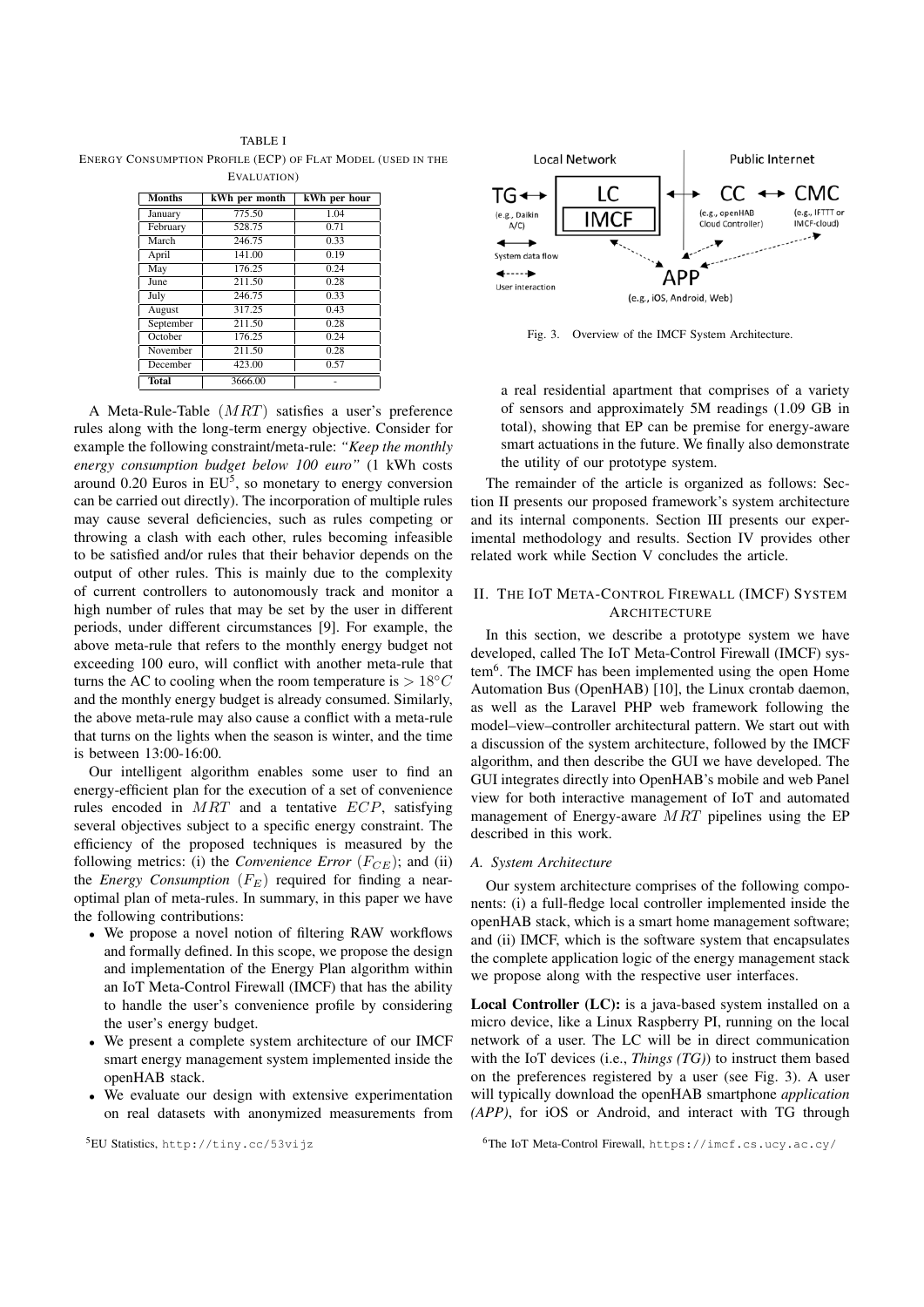TABLE I ENERGY CONSUMPTION PROFILE (ECP) OF FLAT MODEL (USED IN THE EVALUATION)

| <b>Months</b> | kWh per month | kWh per hour |
|---------------|---------------|--------------|
| January       | 775.50        | 1.04         |
| February      | 528.75        | 0.71         |
| March         | 246.75        | 0.33         |
| April         | 141.00        | 0.19         |
| May           | 176.25        | 0.24         |
| June          | 211.50        | 0.28         |
| July          | 246.75        | 0.33         |
| August        | 317.25        | 0.43         |
| September     | 211.50        | 0.28         |
| October       | 176.25        | 0.24         |
| November      | 211.50        | 0.28         |
| December      | 423.00        | 0.57         |
| <b>Total</b>  | 3666.00       |              |

A Meta-Rule-Table (*MRT*) satisfies a user's preference rules along with the long-term energy objective. Consider for example the following constraint/meta-rule: *"Keep the monthly energy consumption budget below 100 euro"* (1 kWh costs around  $0.20$  Euros in  $EU^5$ , so monetary to energy conversion can be carried out directly). The incorporation of multiple rules may cause several deficiencies, such as rules competing or throwing a clash with each other, rules becoming infeasible to be satisfied and/or rules that their behavior depends on the output of other rules. This is mainly due to the complexity of current controllers to autonomously track and monitor a high number of rules that may be set by the user in different periods, under different circumstances [9]. For example, the above meta-rule that refers to the monthly energy budget not exceeding 100 euro, will conflict with another meta-rule that turns the AC to cooling when the room temperature is  $> 18^{\circ}C$ and the monthly energy budget is already consumed. Similarly, the above meta-rule may also cause a conflict with a meta-rule that turns on the lights when the season is winter, and the time is between 13:00-16:00.

Our intelligent algorithm enables some user to find an energy-efficient plan for the execution of a set of convenience rules encoded in *MRT* and a tentative *ECP*, satisfying several objectives subject to a specific energy constraint. The efficiency of the proposed techniques is measured by the following metrics: (i) the *Convenience Error*  $(F_{CF})$ ; and (ii) the *Energy Consumption*  $(F_E)$  required for finding a nearoptimal plan of meta-rules. In summary, in this paper we have the following contributions:

- *•* We propose a novel notion of filtering RAW workflows and formally defined. In this scope, we propose the design and implementation of the Energy Plan algorithm within an IoT Meta-Control Firewall (IMCF) that has the ability to handle the user's convenience profile by considering the user's energy budget.
- *•* We present a complete system architecture of our IMCF smart energy management system implemented inside the openHAB stack.
- *•* We evaluate our design with extensive experimentation on real datasets with anonymized measurements from

5EU Statistics, http://tiny.cc/53vijz



Fig. 3. Overview of the IMCF System Architecture.

a real residential apartment that comprises of a variety of sensors and approximately 5M readings (1.09 GB in total), showing that EP can be premise for energy-aware smart actuations in the future. We finally also demonstrate the utility of our prototype system.

The remainder of the article is organized as follows: Section II presents our proposed framework's system architecture and its internal components. Section III presents our experimental methodology and results. Section IV provides other related work while Section V concludes the article.

#### II. THE IOT META-CONTROL FIREWALL (IMCF) SYSTEM **ARCHITECTURE**

In this section, we describe a prototype system we have developed, called The IoT Meta-Control Firewall (IMCF) system6. The IMCF has been implemented using the open Home Automation Bus (OpenHAB) [10], the Linux crontab daemon, as well as the Laravel PHP web framework following the model–view–controller architectural pattern. We start out with a discussion of the system architecture, followed by the IMCF algorithm, and then describe the GUI we have developed. The GUI integrates directly into OpenHAB's mobile and web Panel view for both interactive management of IoT and automated management of Energy-aware *MRT* pipelines using the EP described in this work.

#### *A. System Architecture*

Our system architecture comprises of the following components: (i) a full-fledge local controller implemented inside the openHAB stack, which is a smart home management software; and (ii) IMCF, which is the software system that encapsulates the complete application logic of the energy management stack we propose along with the respective user interfaces.

Local Controller (LC): is a java-based system installed on a micro device, like a Linux Raspberry PI, running on the local network of a user. The LC will be in direct communication with the IoT devices (i.e., *Things (TG)*) to instruct them based on the preferences registered by a user (see Fig. 3). A user will typically download the openHAB smartphone *application (APP)*, for iOS or Android, and interact with TG through

<sup>6</sup>The IoT Meta-Control Firewall, https://imcf.cs.ucy.ac.cy/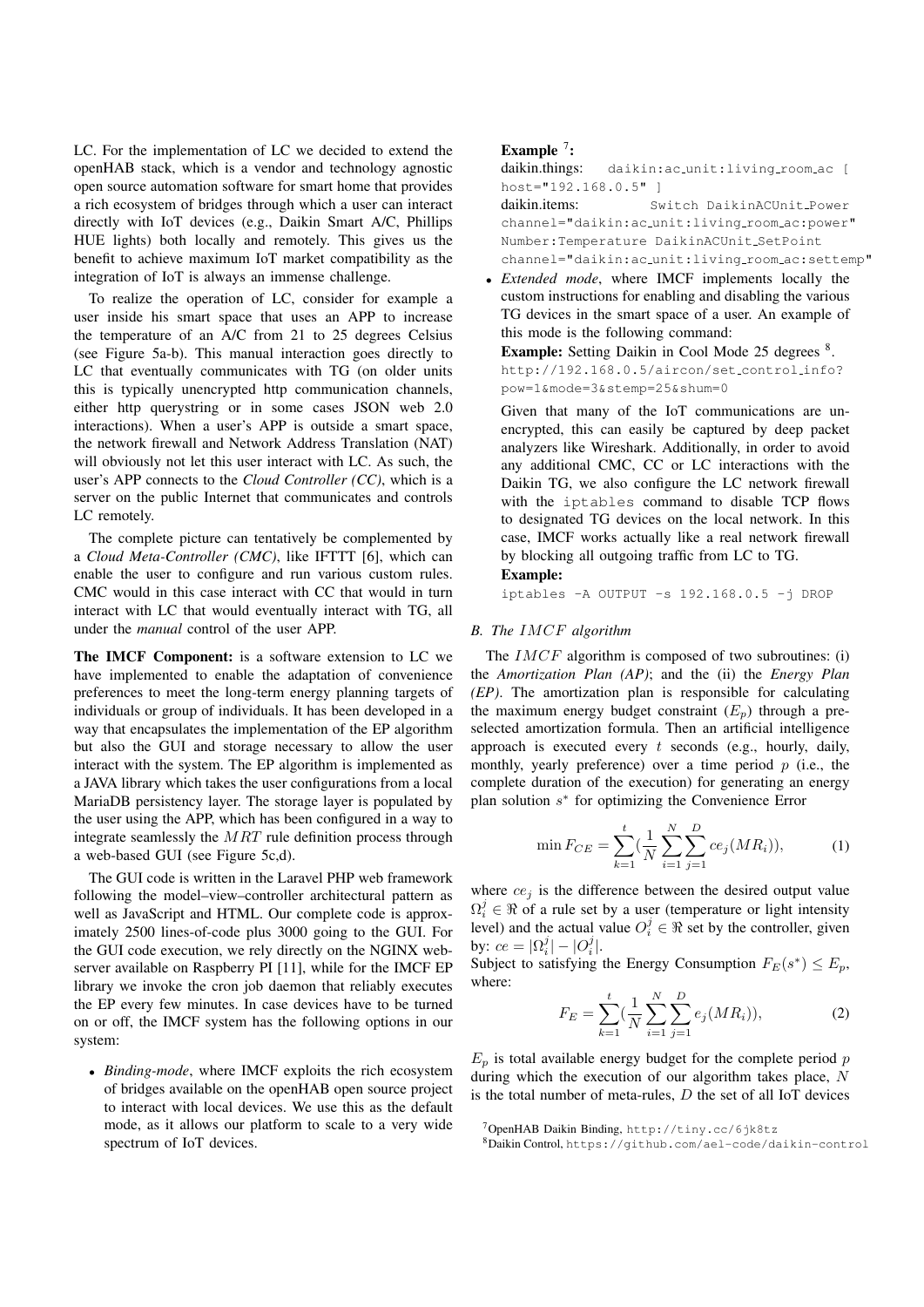LC. For the implementation of LC we decided to extend the openHAB stack, which is a vendor and technology agnostic open source automation software for smart home that provides a rich ecosystem of bridges through which a user can interact directly with IoT devices (e.g., Daikin Smart A/C, Phillips HUE lights) both locally and remotely. This gives us the benefit to achieve maximum IoT market compatibility as the integration of IoT is always an immense challenge.

To realize the operation of LC, consider for example a user inside his smart space that uses an APP to increase the temperature of an A/C from 21 to 25 degrees Celsius (see Figure 5a-b). This manual interaction goes directly to LC that eventually communicates with TG (on older units this is typically unencrypted http communication channels, either http querystring or in some cases JSON web 2.0 interactions). When a user's APP is outside a smart space, the network firewall and Network Address Translation (NAT) will obviously not let this user interact with LC. As such, the user's APP connects to the *Cloud Controller (CC)*, which is a server on the public Internet that communicates and controls LC remotely.

The complete picture can tentatively be complemented by a *Cloud Meta-Controller (CMC)*, like IFTTT [6], which can enable the user to configure and run various custom rules. CMC would in this case interact with CC that would in turn interact with LC that would eventually interact with TG, all under the *manual* control of the user APP.

The IMCF Component: is a software extension to LC we have implemented to enable the adaptation of convenience preferences to meet the long-term energy planning targets of individuals or group of individuals. It has been developed in a way that encapsulates the implementation of the EP algorithm but also the GUI and storage necessary to allow the user interact with the system. The EP algorithm is implemented as a JAVA library which takes the user configurations from a local MariaDB persistency layer. The storage layer is populated by the user using the APP, which has been configured in a way to integrate seamlessly the *MRT* rule definition process through a web-based GUI (see Figure 5c,d).

The GUI code is written in the Laravel PHP web framework following the model–view–controller architectural pattern as well as JavaScript and HTML. Our complete code is approximately 2500 lines-of-code plus 3000 going to the GUI. For the GUI code execution, we rely directly on the NGINX webserver available on Raspberry PI [11], while for the IMCF EP library we invoke the cron job daemon that reliably executes the EP every few minutes. In case devices have to be turned on or off, the IMCF system has the following options in our system:

*• Binding-mode*, where IMCF exploits the rich ecosystem of bridges available on the openHAB open source project to interact with local devices. We use this as the default mode, as it allows our platform to scale to a very wide spectrum of IoT devices.

## Example  $^7$ :

daikin.things: daikin: ac\_unit: living\_room\_ac [ host="192.168.0.5" ]

daikin.items: Switch DaikinACUnit\_Power channel="daikin:ac\_unit:living\_room\_ac:power" Number:Temperature DaikinACUnit SetPoint channel="daikin:ac unit:living room ac:settemp"

*• Extended mode*, where IMCF implements locally the custom instructions for enabling and disabling the various TG devices in the smart space of a user. An example of this mode is the following command:

Example: Setting Daikin in Cool Mode 25 degrees <sup>8</sup>. http://192.168.0.5/aircon/set\_control\_info? pow=1&mode=3&stemp=25&shum=0

Given that many of the IoT communications are unencrypted, this can easily be captured by deep packet analyzers like Wireshark. Additionally, in order to avoid any additional CMC, CC or LC interactions with the Daikin TG, we also configure the LC network firewall with the iptables command to disable TCP flows to designated TG devices on the local network. In this case, IMCF works actually like a real network firewall by blocking all outgoing traffic from LC to TG. Example:

iptables -A OUTPUT -s 192.168.0.5 -j DROP

#### *B. The IMCF algorithm*

The *IMCF* algorithm is composed of two subroutines: (i) the *Amortization Plan (AP)*; and the (ii) the *Energy Plan (EP)*. The amortization plan is responsible for calculating the maximum energy budget constraint  $(E_p)$  through a preselected amortization formula. Then an artificial intelligence approach is executed every *t* seconds (e.g., hourly, daily, monthly, yearly preference) over a time period *p* (i.e., the complete duration of the execution) for generating an energy plan solution *s*⇤ for optimizing the Convenience Error

$$
\min F_{CE} = \sum_{k=1}^{t} \left(\frac{1}{N} \sum_{i=1}^{N} \sum_{j=1}^{D} ce_j(MR_i)\right),\tag{1}
$$

where  $ce_j$  is the difference between the desired output value  $\Omega_i^j \in \Re$  of a rule set by a user (temperature or light intensity level) and the actual value  $O_i^j \in \Re$  set by the controller, given by:  $ce = |\Omega_i^j| - |O_i^j|$ .

Subject to satisfying the Energy Consumption  $F_E(s^*) \leq E_p$ , where:

$$
F_E = \sum_{k=1}^{t} \left(\frac{1}{N} \sum_{i=1}^{N} \sum_{j=1}^{D} e_j(MR_i)\right),\tag{2}
$$

 $E_p$  is total available energy budget for the complete period  $p$ during which the execution of our algorithm takes place, *N* is the total number of meta-rules, *D* the set of all IoT devices

<sup>7</sup>OpenHAB Daikin Binding, http://tiny.cc/6jk8tz

<sup>8</sup>Daikin Control, https://github.com/ael-code/daikin-control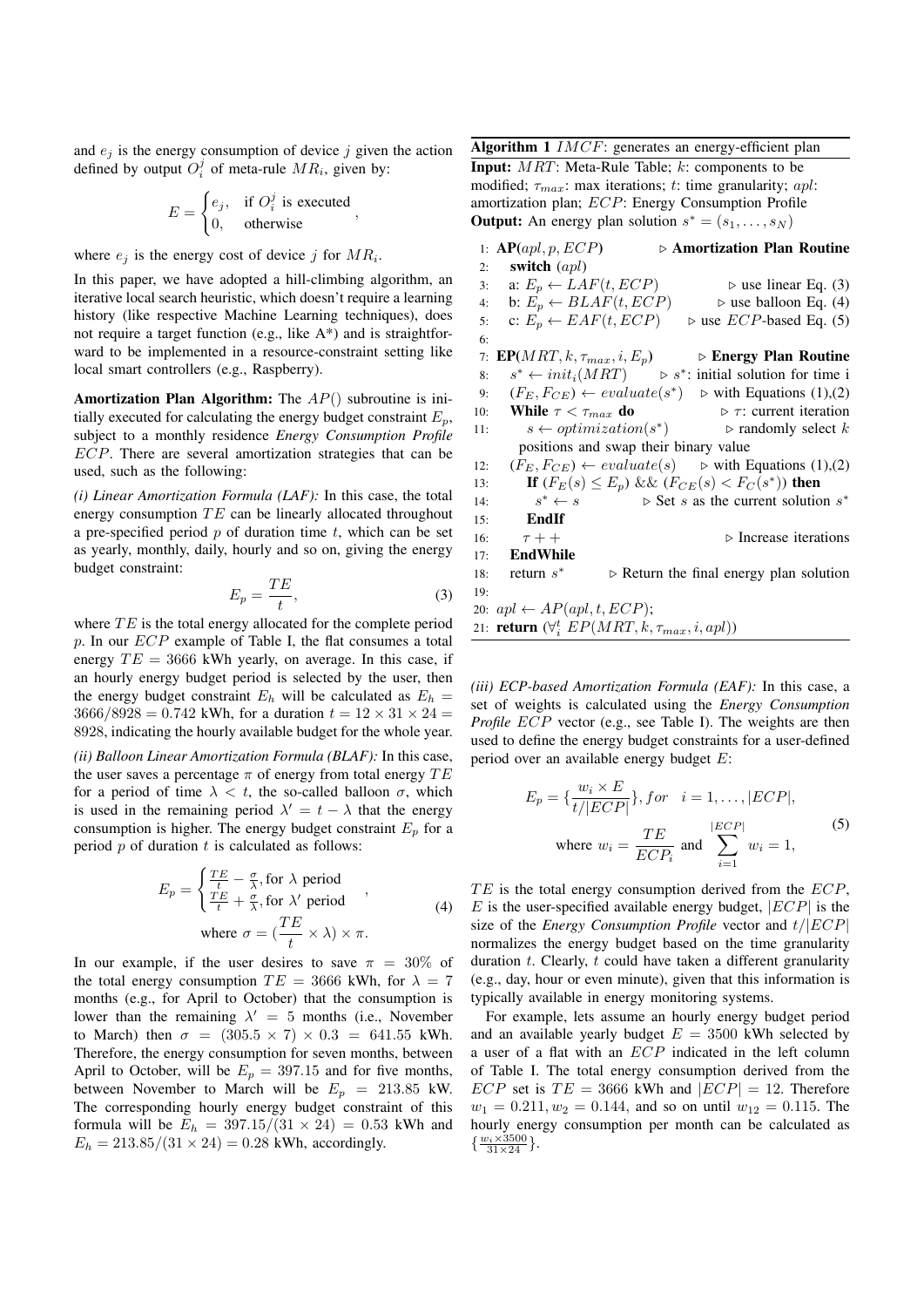and  $e_i$  is the energy consumption of device  $j$  given the action defined by output  $O_i^j$  of meta-rule  $MR_i$ , given by:

$$
E = \begin{cases} e_j, & \text{if } O_i^j \text{ is executed} \\ 0, & \text{otherwise} \end{cases}
$$

where  $e_j$  is the energy cost of device *j* for  $MR_i$ .

In this paper, we have adopted a hill-climbing algorithm, an iterative local search heuristic, which doesn't require a learning history (like respective Machine Learning techniques), does not require a target function (e.g., like A\*) and is straightforward to be implemented in a resource-constraint setting like local smart controllers (e.g., Raspberry).

Amortization Plan Algorithm: The *AP*() subroutine is initially executed for calculating the energy budget constraint  $E_p$ , subject to a monthly residence *Energy Consumption Profile ECP*. There are several amortization strategies that can be used, such as the following:

*(i) Linear Amortization Formula (LAF):* In this case, the total energy consumption *TE* can be linearly allocated throughout a pre-specified period *p* of duration time *t*, which can be set as yearly, monthly, daily, hourly and so on, giving the energy budget constraint:

$$
E_p = \frac{TE}{t},\tag{3}
$$

where *TE* is the total energy allocated for the complete period *p*. In our *ECP* example of Table I, the flat consumes a total energy  $TE = 3666$  kWh yearly, on average. In this case, if an hourly energy budget period is selected by the user, then the energy budget constraint  $E_h$  will be calculated as  $E_h$  =  $3666/8928 = 0.742$  kWh, for a duration  $t = 12 \times 31 \times 24 =$ 8928, indicating the hourly available budget for the whole year.

*(ii) Balloon Linear Amortization Formula (BLAF):* In this case, the user saves a percentage  $\pi$  of energy from total energy  $TE$ for a period of time  $\lambda < t$ , the so-called balloon  $\sigma$ , which is used in the remaining period  $\lambda' = t - \lambda$  that the energy consumption is higher. The energy budget constraint  $E_p$  for a period *p* of duration *t* is calculated as follows:

$$
E_p = \begin{cases} \frac{TE}{t} - \frac{\sigma}{\lambda}, \text{for } \lambda \text{ period} \\ \frac{TE}{t} + \frac{\sigma}{\lambda}, \text{for } \lambda' \text{ period} \end{cases},
$$
  
where  $\sigma = (\frac{TE}{t} \times \lambda) \times \pi$ . (4)

In our example, if the user desires to save  $\pi = 30\%$  of the total energy consumption  $TE = 3666$  kWh, for  $\lambda = 7$ months (e.g., for April to October) that the consumption is lower than the remaining  $\lambda' = 5$  months (i.e., November to March) then  $\sigma = (305.5 \times 7) \times 0.3 = 641.55$  kWh. Therefore, the energy consumption for seven months, between April to October, will be  $E_p = 397.15$  and for five months, between November to March will be  $E_p = 213.85$  kW. The corresponding hourly energy budget constraint of this formula will be  $E_h = 397.15/(31 \times 24) = 0.53$  kWh and  $E_h = 213.85/(31 \times 24) = 0.28$  kWh, accordingly.

Algorithm 1 *IMCF*: generates an energy-efficient plan Input: *MRT*: Meta-Rule Table; *k*: components to be modified;  $\tau_{max}$ : max iterations; *t*: time granularity; *apl*: amortization plan; *ECP*: Energy Consumption Profile **Output:** An energy plan solution  $s^* = (s_1, \ldots, s_N)$ 

|     | 1: $AP(apl, p, ECP)$                                             | ▷ Amortization Plan Routine                                                                                                              |
|-----|------------------------------------------------------------------|------------------------------------------------------------------------------------------------------------------------------------------|
| 2:  | switch $(apl)$                                                   |                                                                                                                                          |
| 3:  | a: $E_p \leftarrow LAF(t, ECP)$                                  | $\triangleright$ use linear Eq. (3)                                                                                                      |
| 4:  | b: $E_p \leftarrow BLAF(t, ECP)$                                 | $\triangleright$ use balloon Eq. (4)                                                                                                     |
| 5:  |                                                                  | c: $E_p \leftarrow EAF(t, ECP)$ $\Rightarrow$ use <i>ECP</i> -based Eq. (5)                                                              |
| 6:  |                                                                  |                                                                                                                                          |
|     |                                                                  | 7: <b>EP</b> ( <i>MRT</i> , <i>k</i> , $\tau_{max}$ , <i>i</i> , <i>E</i> <sub>p</sub> ) $\qquad \Rightarrow$ <b>Energy Plan Routine</b> |
| 8:  |                                                                  | $s^* \leftarrow init_i(MRT)$ $\triangleright s^*$ : initial solution for time i                                                          |
| 9:  |                                                                  | $(F_E, F_{CE}) \leftarrow evaluate(s^*)$ $\triangleright$ with Equations (1),(2)                                                         |
| 10: | While $\tau < \tau_{max}$ do                                     | $\triangleright$ $\tau$ : current iteration                                                                                              |
| 11: |                                                                  | $s \leftarrow optimization(s^*)$ $\triangleright$ randomly select k                                                                      |
|     | positions and swap their binary value                            |                                                                                                                                          |
| 12: |                                                                  | $(F_E, F_{CE}) \leftarrow evaluate(s)$ $\Rightarrow$ with Equations (1),(2)                                                              |
| 13: |                                                                  | <b>If</b> $(F_E(s) \le E_p)$ && $(F_{CE}(s) < F_C(s^*))$ then                                                                            |
| 14: | $s^* \leftarrow s$                                               | $\triangleright$ Set s as the current solution s*                                                                                        |
| 15: | EndIf                                                            |                                                                                                                                          |
| 16: | $\tau + +$                                                       | $\triangleright$ Increase iterations                                                                                                     |
|     | 17: EndWhile                                                     |                                                                                                                                          |
|     | 18: return $s^*$                                                 | $\triangleright$ Return the final energy plan solution                                                                                   |
| 19: |                                                                  |                                                                                                                                          |
|     | 20: $apl \leftarrow AP(apl, t, ECP);$                            |                                                                                                                                          |
|     | 21: <b>return</b> $(\forall i \ EP(MRT, k, \tau_{max}, i, apl))$ |                                                                                                                                          |

*(iii) ECP-based Amortization Formula (EAF):* In this case, a set of weights is calculated using the *Energy Consumption Profile ECP* vector (e.g., see Table I). The weights are then used to define the energy budget constraints for a user-defined period over an available energy budget *E*:

$$
E_p = \left\{ \frac{w_i \times E}{t/|ECP|} \right\}, \text{for} \quad i = 1, \dots, |ECP|,
$$
\n
$$
\text{where } w_i = \frac{TE}{ECP_i} \text{ and } \sum_{i=1}^{|ECP|} w_i = 1,
$$
\n<sup>(5)</sup>

*T E* is the total energy consumption derived from the *ECP*, *E* is the user-specified available energy budget, *|ECP|* is the size of the *Energy Consumption Profile* vector and *t/|ECP|* normalizes the energy budget based on the time granularity duration *t*. Clearly, *t* could have taken a different granularity (e.g., day, hour or even minute), given that this information is typically available in energy monitoring systems.

For example, lets assume an hourly energy budget period and an available yearly budget  $E = 3500$  kWh selected by a user of a flat with an *ECP* indicated in the left column of Table I. The total energy consumption derived from the *ECP* set is  $TE = 3666$  kWh and  $|ECP| = 12$ . Therefore  $w_1 = 0.211, w_2 = 0.144$ , and so on until  $w_{12} = 0.115$ . The hourly energy consumption per month can be calculated as  $\{\frac{w_i \times 3500}{31 \times 24}\}.$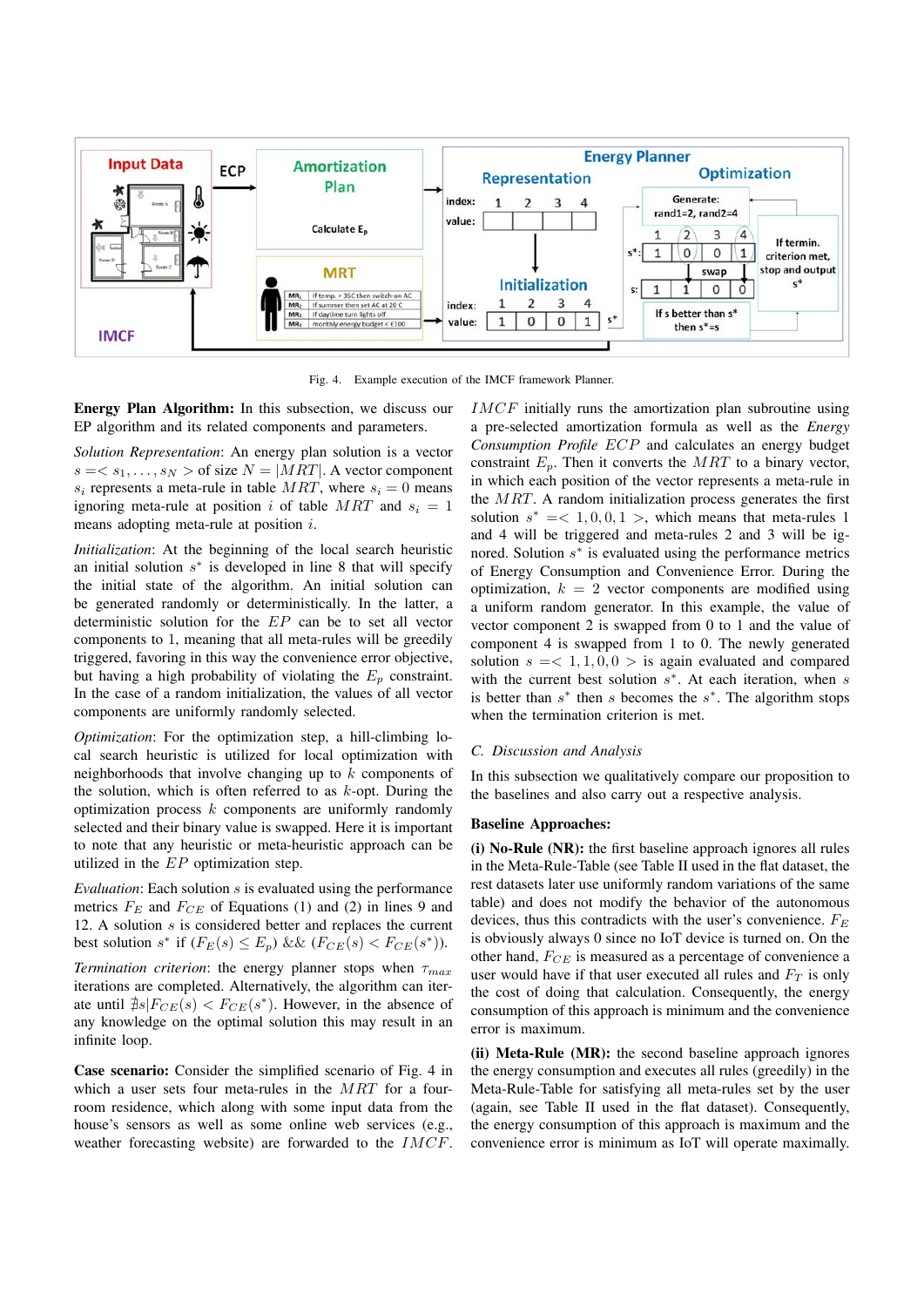

Fig. 4. Example execution of the IMCF framework Planner.

Energy Plan Algorithm: In this subsection, we discuss our EP algorithm and its related components and parameters.

*Solution Representation*: An energy plan solution is a vector  $s = \langle s_1, \ldots, s_N \rangle$  of size  $N = |MRT|$ . A vector component  $s_i$  represents a meta-rule in table *MRT*, where  $s_i = 0$  means ignoring meta-rule at position *i* of table  $MRT$  and  $s_i = 1$ means adopting meta-rule at position *i*.

*Initialization*: At the beginning of the local search heuristic an initial solution  $s<sup>*</sup>$  is developed in line 8 that will specify the initial state of the algorithm. An initial solution can be generated randomly or deterministically. In the latter, a deterministic solution for the *EP* can be to set all vector components to 1, meaning that all meta-rules will be greedily triggered, favoring in this way the convenience error objective, but having a high probability of violating the  $E_p$  constraint. In the case of a random initialization, the values of all vector components are uniformly randomly selected.

*Optimization*: For the optimization step, a hill-climbing local search heuristic is utilized for local optimization with neighborhoods that involve changing up to *k* components of the solution, which is often referred to as *k*-opt. During the optimization process *k* components are uniformly randomly selected and their binary value is swapped. Here it is important to note that any heuristic or meta-heuristic approach can be utilized in the *EP* optimization step.

*Evaluation*: Each solution *s* is evaluated using the performance metrics  $F_E$  and  $F_{CE}$  of Equations (1) and (2) in lines 9 and 12. A solution *s* is considered better and replaces the current best solution  $s^*$  if  $(F_E(s) \le E_p)$  &&  $(F_{CE}(s) < F_{CE}(s^*))$ . *Termination criterion*: the energy planner stops when  $\tau_{max}$ 

iterations are completed. Alternatively, the algorithm can iterate until  $\sharp s|F_{CE}(s) < F_{CE}(s^*)$ . However, in the absence of any knowledge on the optimal solution this may result in an infinite loop.

Case scenario: Consider the simplified scenario of Fig. 4 in which a user sets four meta-rules in the *MRT* for a fourroom residence, which along with some input data from the house's sensors as well as some online web services (e.g., weather forecasting website) are forwarded to the *IMCF*. *IMCF* initially runs the amortization plan subroutine using a pre-selected amortization formula as well as the *Energy Consumption Profile ECP* and calculates an energy budget constraint  $E_p$ . Then it converts the  $MRT$  to a binary vector, in which each position of the vector represents a meta-rule in the *MRT*. A random initialization process generates the first solution  $s^* = <1, 0, 0, 1>$ , which means that meta-rules 1 and 4 will be triggered and meta-rules 2 and 3 will be ignored. Solution  $s<sup>*</sup>$  is evaluated using the performance metrics of Energy Consumption and Convenience Error. During the optimization,  $k = 2$  vector components are modified using a uniform random generator. In this example, the value of vector component 2 is swapped from 0 to 1 and the value of component 4 is swapped from 1 to 0. The newly generated solution  $s = < 1, 1, 0, 0 >$  is again evaluated and compared with the current best solution  $s<sup>*</sup>$ . At each iteration, when *s* is better than  $s^*$  then  $s$  becomes the  $s^*$ . The algorithm stops when the termination criterion is met.

#### *C. Discussion and Analysis*

In this subsection we qualitatively compare our proposition to the baselines and also carry out a respective analysis.

## Baseline Approaches:

(i) No-Rule (NR): the first baseline approach ignores all rules in the Meta-Rule-Table (see Table II used in the flat dataset, the rest datasets later use uniformly random variations of the same table) and does not modify the behavior of the autonomous devices, thus this contradicts with the user's convenience. *F<sup>E</sup>* is obviously always 0 since no IoT device is turned on. On the other hand, *FCE* is measured as a percentage of convenience a user would have if that user executed all rules and *F<sup>T</sup>* is only the cost of doing that calculation. Consequently, the energy consumption of this approach is minimum and the convenience error is maximum.

(ii) Meta-Rule (MR): the second baseline approach ignores the energy consumption and executes all rules (greedily) in the Meta-Rule-Table for satisfying all meta-rules set by the user (again, see Table II used in the flat dataset). Consequently, the energy consumption of this approach is maximum and the convenience error is minimum as IoT will operate maximally.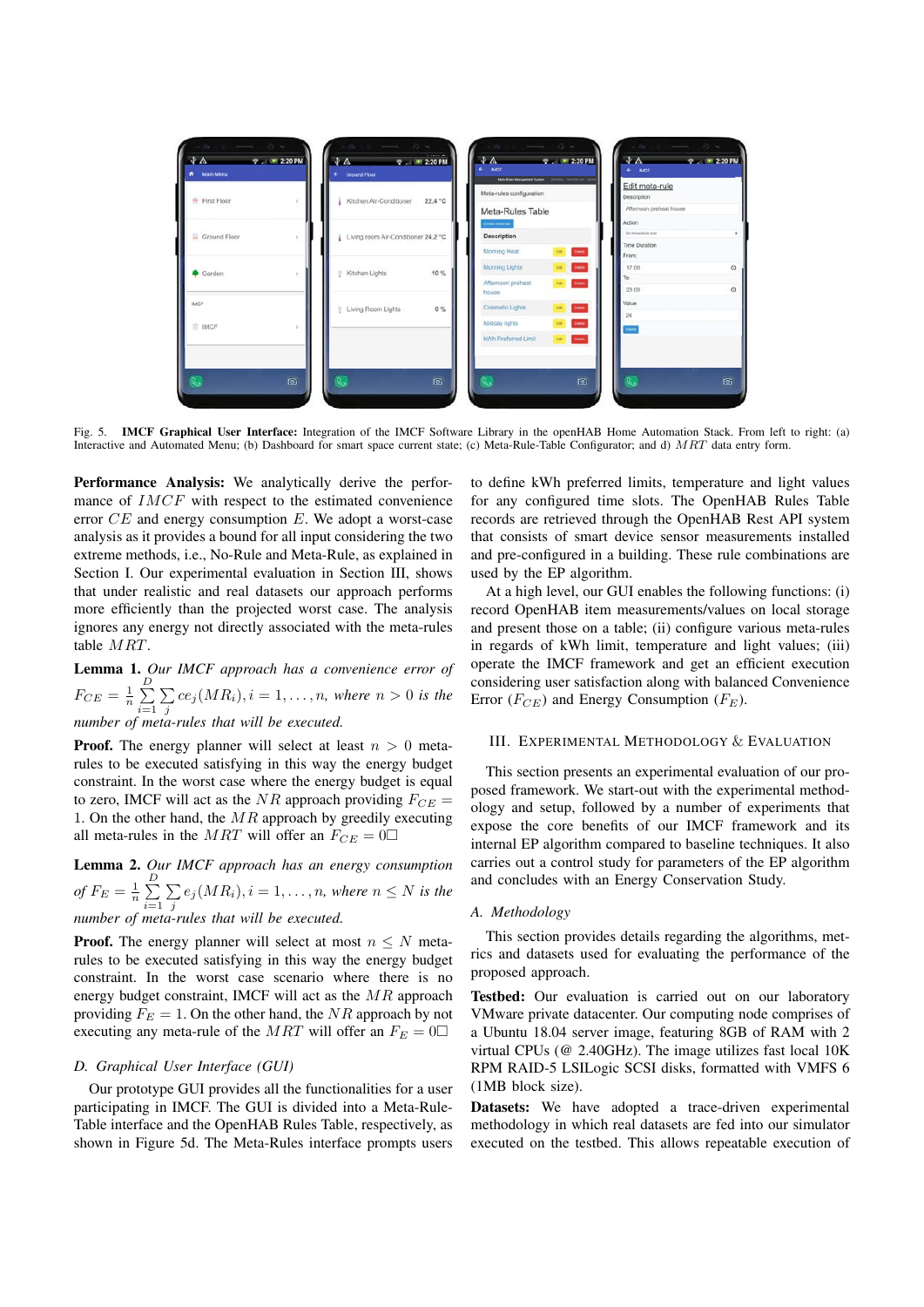

Fig. 5. **IMCF Graphical User Interface:** Integration of the IMCF Software Library in the openHAB Home Automation Stack. From left to right: (a) Interactive and Automated Menu; (b) Dashboard for smart space current state; (c) Meta-Rule-Table Configurator; and d) *MRT* data entry form.

Performance Analysis: We analytically derive the performance of *IMCF* with respect to the estimated convenience error *CE* and energy consumption *E*. We adopt a worst-case analysis as it provides a bound for all input considering the two extreme methods, i.e., No-Rule and Meta-Rule, as explained in Section I. Our experimental evaluation in Section III, shows that under realistic and real datasets our approach performs more efficiently than the projected worst case. The analysis ignores any energy not directly associated with the meta-rules table *MRT*.

Lemma 1. *Our IMCF approach has a convenience error of*  $F_{CE} = \frac{1}{n} \sum_{i=1}^{D}$ *i*=1  $\sum$  $\sum_{j}$  *ce*<sub>j</sub>(*MR*<sub>*i*</sub>)*, i* = 1*,...,n, where n* > 0 *is the number of meta-rules that will be executed.*

**Proof.** The energy planner will select at least  $n > 0$  metarules to be executed satisfying in this way the energy budget constraint. In the worst case where the energy budget is equal to zero, IMCF will act as the *NR* approach providing  $F_{CE}$  = 1. On the other hand, the *MR* approach by greedily executing all meta-rules in the *MRT* will offer an  $F_{CE} = 0$ 

Lemma 2. *Our IMCF approach has an energy consumption of*  $F_E = \frac{1}{n} \sum_{i=1}^{D}$ *i*=1  $\sum$  $\sum_{j} e_j(MR_i), i = 1, \ldots, n$ *, where*  $n \leq N$  *is the number of meta-rules that will be executed.*

**Proof.** The energy planner will select at most  $n \leq N$  metarules to be executed satisfying in this way the energy budget constraint. In the worst case scenario where there is no energy budget constraint, IMCF will act as the *MR* approach providing  $F_E = 1$ . On the other hand, the *NR* approach by not executing any meta-rule of the *MRT* will offer an  $F_E = 0$ 

### *D. Graphical User Interface (GUI)*

Our prototype GUI provides all the functionalities for a user participating in IMCF. The GUI is divided into a Meta-Rule-Table interface and the OpenHAB Rules Table, respectively, as shown in Figure 5d. The Meta-Rules interface prompts users

to define kWh preferred limits, temperature and light values for any configured time slots. The OpenHAB Rules Table records are retrieved through the OpenHAB Rest API system that consists of smart device sensor measurements installed and pre-configured in a building. These rule combinations are used by the EP algorithm.

At a high level, our GUI enables the following functions: (i) record OpenHAB item measurements/values on local storage and present those on a table; (ii) configure various meta-rules in regards of kWh limit, temperature and light values; (iii) operate the IMCF framework and get an efficient execution considering user satisfaction along with balanced Convenience Error (*FCE*) and Energy Consumption (*FE*).

#### III. EXPERIMENTAL METHODOLOGY & EVALUATION

This section presents an experimental evaluation of our proposed framework. We start-out with the experimental methodology and setup, followed by a number of experiments that expose the core benefits of our IMCF framework and its internal EP algorithm compared to baseline techniques. It also carries out a control study for parameters of the EP algorithm and concludes with an Energy Conservation Study.

#### *A. Methodology*

This section provides details regarding the algorithms, metrics and datasets used for evaluating the performance of the proposed approach.

Testbed: Our evaluation is carried out on our laboratory VMware private datacenter. Our computing node comprises of a Ubuntu 18.04 server image, featuring 8GB of RAM with 2 virtual CPUs (@ 2.40GHz). The image utilizes fast local 10K RPM RAID-5 LSILogic SCSI disks, formatted with VMFS 6 (1MB block size).

Datasets: We have adopted a trace-driven experimental methodology in which real datasets are fed into our simulator executed on the testbed. This allows repeatable execution of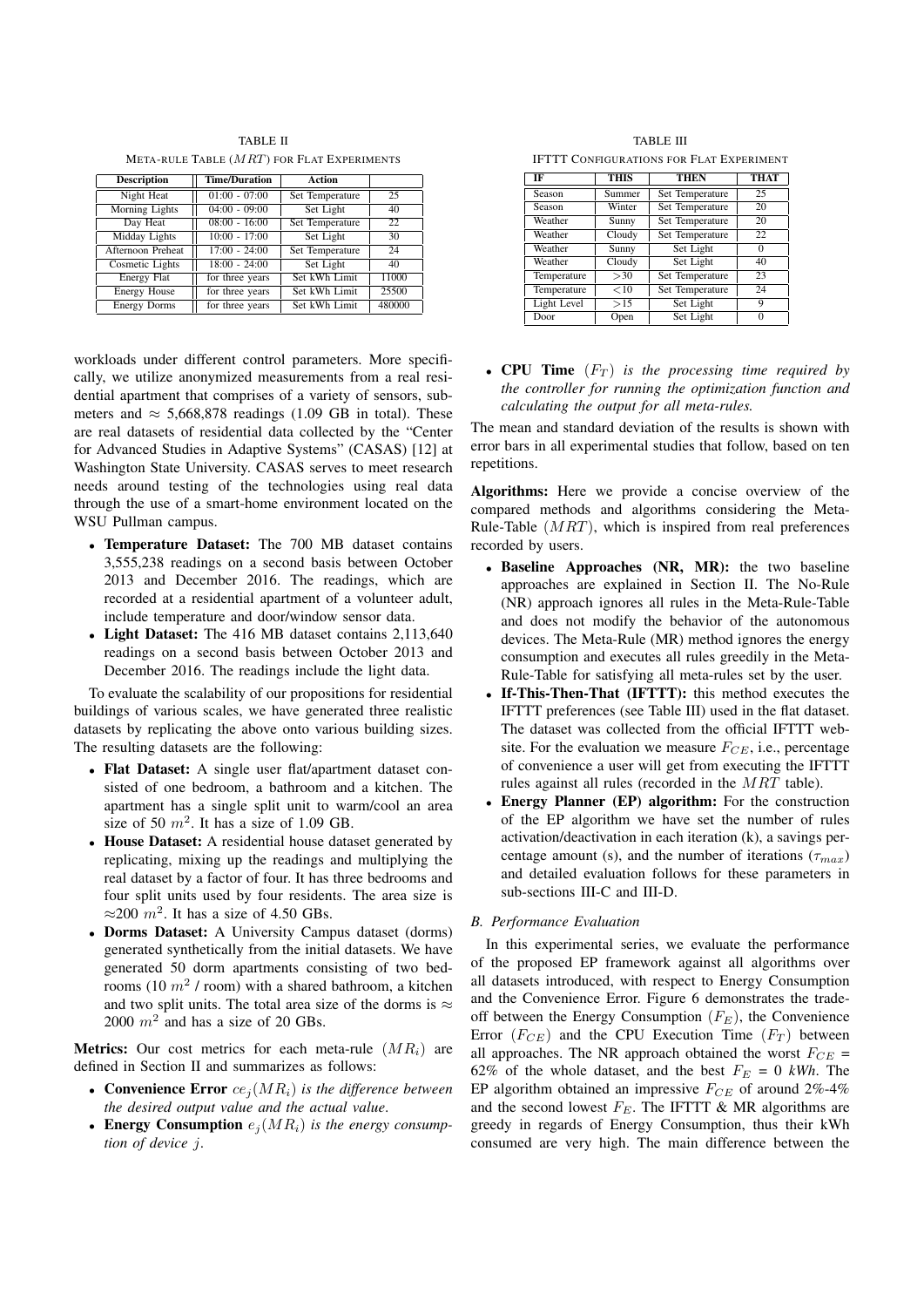TABLE II META-RULE TABLE (*MRT*) FOR FLAT EXPERIMENTS

| <b>Description</b>     | <b>Time/Duration</b> | Action          |        |
|------------------------|----------------------|-----------------|--------|
| Night Heat             | $01:00 - 07:00$      | Set Temperature | 25     |
| Morning Lights         | $04:00 - 09:00$      | Set Light       | 40     |
| Day Heat               | $08:00 - 16:00$      | Set Temperature | 22     |
| Midday Lights          | $10:00 - 17:00$      | Set Light       | 30     |
| Afternoon Preheat      | $17:00 - 24:00$      | Set Temperature | 24     |
| <b>Cosmetic Lights</b> | $18:00 - 24:00$      | Set Light       | 40     |
| Energy Flat            | for three years      | Set kWh Limit   | 11000  |
| <b>Energy House</b>    | for three years      | Set kWh Limit   | 25500  |
| <b>Energy Dorms</b>    | for three years      | Set kWh Limit   | 480000 |

workloads under different control parameters. More specifically, we utilize anonymized measurements from a real residential apartment that comprises of a variety of sensors, submeters and  $\approx$  5,668,878 readings (1.09 GB in total). These are real datasets of residential data collected by the "Center for Advanced Studies in Adaptive Systems" (CASAS) [12] at Washington State University. CASAS serves to meet research needs around testing of the technologies using real data through the use of a smart-home environment located on the WSU Pullman campus.

- *•* Temperature Dataset: The 700 MB dataset contains 3,555,238 readings on a second basis between October 2013 and December 2016. The readings, which are recorded at a residential apartment of a volunteer adult, include temperature and door/window sensor data.
- *•* Light Dataset: The 416 MB dataset contains 2,113,640 readings on a second basis between October 2013 and December 2016. The readings include the light data.

To evaluate the scalability of our propositions for residential buildings of various scales, we have generated three realistic datasets by replicating the above onto various building sizes. The resulting datasets are the following:

- *•* Flat Dataset: A single user flat/apartment dataset consisted of one bedroom, a bathroom and a kitchen. The apartment has a single split unit to warm/cool an area size of 50  $m^2$ . It has a size of 1.09 GB.
- *•* House Dataset: A residential house dataset generated by replicating, mixing up the readings and multiplying the real dataset by a factor of four. It has three bedrooms and four split units used by four residents. The area size is  $\approx$ 200  $m^2$ . It has a size of 4.50 GBs.
- *•* Dorms Dataset: A University Campus dataset (dorms) generated synthetically from the initial datasets. We have generated 50 dorm apartments consisting of two bedrooms (10 *m*<sup>2</sup> / room) with a shared bathroom, a kitchen and two split units. The total area size of the dorms is  $\approx$ 2000 *m*<sup>2</sup> and has a size of 20 GBs.

Metrics: Our cost metrics for each meta-rule (*MRi*) are defined in Section II and summarizes as follows:

- *•* Convenience Error *ce<sup>j</sup>* (*MRi*) *is the difference between the desired output value and the actual value*.
- Energy Consumption  $e_i(MR_i)$  *is the energy consumption of device j*.

TABLE III IFTTT CONFIGURATIONS FOR FLAT EXPERIMENT

| IF          | <b>THIS</b>                | <b>THEN</b>     | <b>THAT</b> |
|-------------|----------------------------|-----------------|-------------|
| Season      | Summer                     | Set Temperature | 25          |
| Season      | Winter                     | Set Temperature | 20          |
| Weather     | Sunny                      | Set Temperature | 20          |
| Weather     | Cloudy                     | Set Temperature | 22          |
| Weather     | $\overline{\text{S}}$ unny | Set Light       |             |
| Weather     | Cloudy                     | Set Light       | 40          |
| Temperature | >30                        | Set Temperature | 23          |
| Temperature | <10                        | Set Temperature | 24          |
| Light Level | >15                        | Set Light       | 9           |
| Door        | Open                       | Set Light       | 0           |

*•* CPU Time (*F<sup>T</sup>* ) *is the processing time required by the controller for running the optimization function and calculating the output for all meta-rules.*

The mean and standard deviation of the results is shown with error bars in all experimental studies that follow, based on ten repetitions.

Algorithms: Here we provide a concise overview of the compared methods and algorithms considering the Meta-Rule-Table (*MRT*), which is inspired from real preferences recorded by users.

- *•* Baseline Approaches (NR, MR): the two baseline approaches are explained in Section II. The No-Rule (NR) approach ignores all rules in the Meta-Rule-Table and does not modify the behavior of the autonomous devices. The Meta-Rule (MR) method ignores the energy consumption and executes all rules greedily in the Meta-Rule-Table for satisfying all meta-rules set by the user.
- **If-This-Then-That (IFTTT):** this method executes the IFTTT preferences (see Table III) used in the flat dataset. The dataset was collected from the official IFTTT website. For the evaluation we measure  $F_{CE}$ , i.e., percentage of convenience a user will get from executing the IFTTT rules against all rules (recorded in the *MRT* table).
- **Energy Planner (EP) algorithm:** For the construction of the EP algorithm we have set the number of rules activation/deactivation in each iteration (k), a savings percentage amount (s), and the number of iterations ( $\tau_{max}$ ) and detailed evaluation follows for these parameters in sub-sections III-C and III-D.

## *B. Performance Evaluation*

In this experimental series, we evaluate the performance of the proposed EP framework against all algorithms over all datasets introduced, with respect to Energy Consumption and the Convenience Error. Figure 6 demonstrates the tradeoff between the Energy Consumption (*FE*), the Convenience Error  $(F_{CE})$  and the CPU Execution Time  $(F_T)$  between all approaches. The NR approach obtained the worst  $F_{CE}$  = 62% of the whole dataset, and the best  $F_E = 0$  kWh. The EP algorithm obtained an impressive *FCE* of around 2%-4% and the second lowest  $F_E$ . The IFTTT  $\&$  MR algorithms are greedy in regards of Energy Consumption, thus their kWh consumed are very high. The main difference between the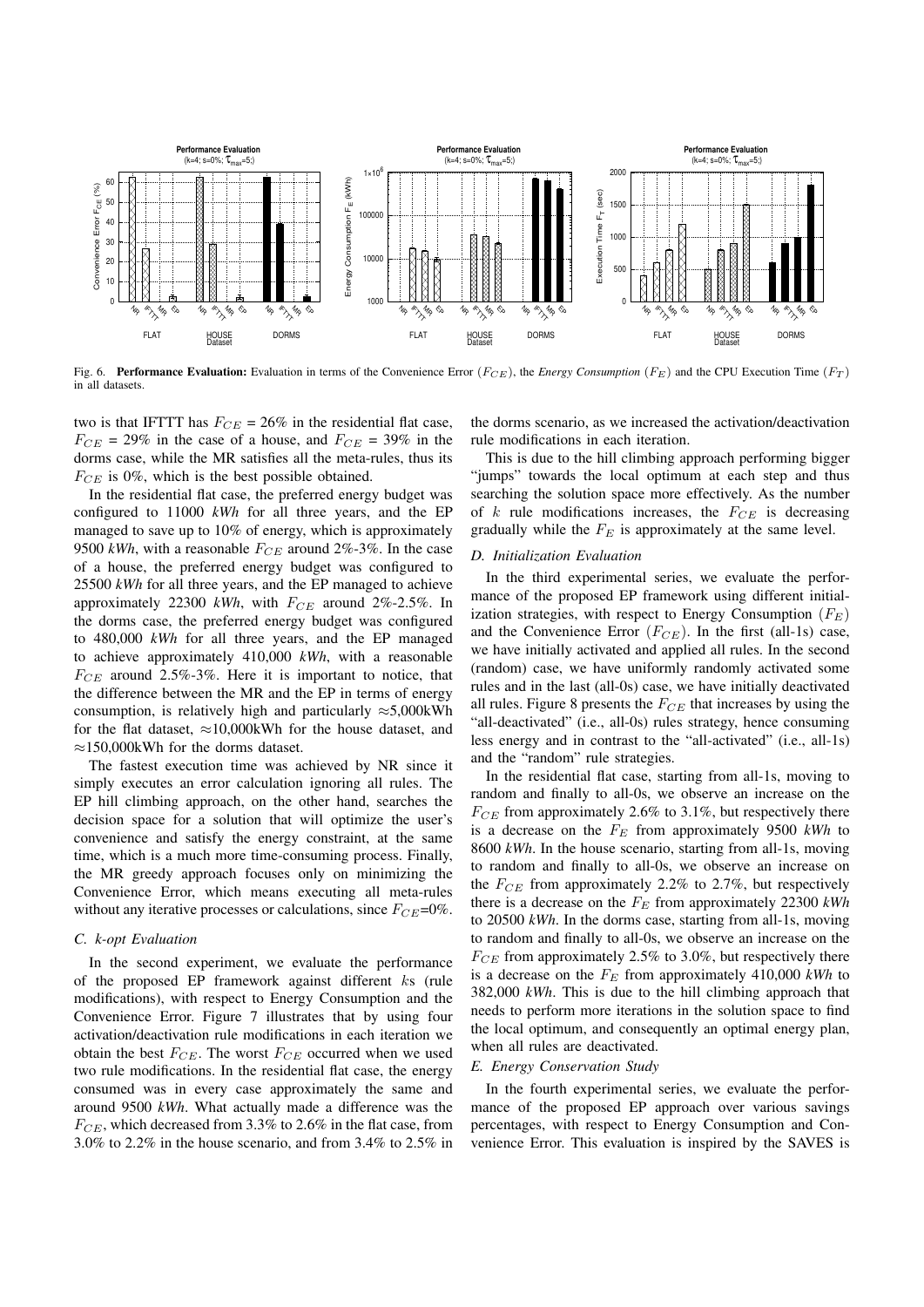

Fig. 6. **Performance Evaluation:** Evaluation in terms of the Convenience Error ( $F_{CE}$ ), the *Energy Consumption* ( $F_E$ ) and the CPU Execution Time ( $F_T$ ) in all datasets.

two is that IFTTT has  $F_{CE} = 26\%$  in the residential flat case,  $F_{CE}$  = 29% in the case of a house, and  $F_{CE}$  = 39% in the dorms case, while the MR satisfies all the meta-rules, thus its *F<sub>CE</sub>* is 0%, which is the best possible obtained.

In the residential flat case, the preferred energy budget was configured to 11000 *kWh* for all three years, and the EP managed to save up to 10% of energy, which is approximately 9500 *kWh*, with a reasonable *FCE* around 2%-3%. In the case of a house, the preferred energy budget was configured to 25500 *kWh* for all three years, and the EP managed to achieve approximately 22300 *kWh*, with *FCE* around 2%-2.5%. In the dorms case, the preferred energy budget was configured to 480,000 *kWh* for all three years, and the EP managed to achieve approximately 410,000 *kWh*, with a reasonable  $F_{CE}$  around 2.5%-3%. Here it is important to notice, that the difference between the MR and the EP in terms of energy consumption, is relatively high and particularly  $\approx$  5,000kWh for the flat dataset,  $\approx 10,000$ kWh for the house dataset, and  $\approx$ 150,000kWh for the dorms dataset.

The fastest execution time was achieved by NR since it simply executes an error calculation ignoring all rules. The EP hill climbing approach, on the other hand, searches the decision space for a solution that will optimize the user's convenience and satisfy the energy constraint, at the same time, which is a much more time-consuming process. Finally, the MR greedy approach focuses only on minimizing the Convenience Error, which means executing all meta-rules without any iterative processes or calculations, since  $F_{CE}$ =0%.

#### *C. k-opt Evaluation*

In the second experiment, we evaluate the performance of the proposed EP framework against different *k*s (rule modifications), with respect to Energy Consumption and the Convenience Error. Figure 7 illustrates that by using four activation/deactivation rule modifications in each iteration we obtain the best *FCE*. The worst *FCE* occurred when we used two rule modifications. In the residential flat case, the energy consumed was in every case approximately the same and around 9500 *kWh*. What actually made a difference was the *FCE*, which decreased from 3.3% to 2.6% in the flat case, from 3.0% to 2.2% in the house scenario, and from 3.4% to 2.5% in

the dorms scenario, as we increased the activation/deactivation rule modifications in each iteration.

This is due to the hill climbing approach performing bigger "jumps" towards the local optimum at each step and thus searching the solution space more effectively. As the number of *k* rule modifications increases, the *FCE* is decreasing gradually while the *F<sup>E</sup>* is approximately at the same level.

## *D. Initialization Evaluation*

In the third experimental series, we evaluate the performance of the proposed EP framework using different initialization strategies, with respect to Energy Consumption (*FE*) and the Convenience Error (*FCE*). In the first (all-1s) case, we have initially activated and applied all rules. In the second (random) case, we have uniformly randomly activated some rules and in the last (all-0s) case, we have initially deactivated all rules. Figure 8 presents the *FCE* that increases by using the "all-deactivated" (i.e., all-0s) rules strategy, hence consuming less energy and in contrast to the "all-activated" (i.e., all-1s) and the "random" rule strategies.

In the residential flat case, starting from all-1s, moving to random and finally to all-0s, we observe an increase on the  $F_{CE}$  from approximately 2.6% to 3.1%, but respectively there is a decrease on the *F<sup>E</sup>* from approximately 9500 *kWh* to 8600 *kWh*. In the house scenario, starting from all-1s, moving to random and finally to all-0s, we observe an increase on the  $F_{CE}$  from approximately 2.2% to 2.7%, but respectively there is a decrease on the *F<sup>E</sup>* from approximately 22300 *kWh* to 20500 *kWh*. In the dorms case, starting from all-1s, moving to random and finally to all-0s, we observe an increase on the *F<sub>CE</sub>* from approximately 2.5% to 3.0%, but respectively there is a decrease on the *F<sup>E</sup>* from approximately 410,000 *kWh* to 382,000 *kWh*. This is due to the hill climbing approach that needs to perform more iterations in the solution space to find the local optimum, and consequently an optimal energy plan, when all rules are deactivated.

#### *E. Energy Conservation Study*

In the fourth experimental series, we evaluate the performance of the proposed EP approach over various savings percentages, with respect to Energy Consumption and Convenience Error. This evaluation is inspired by the SAVES is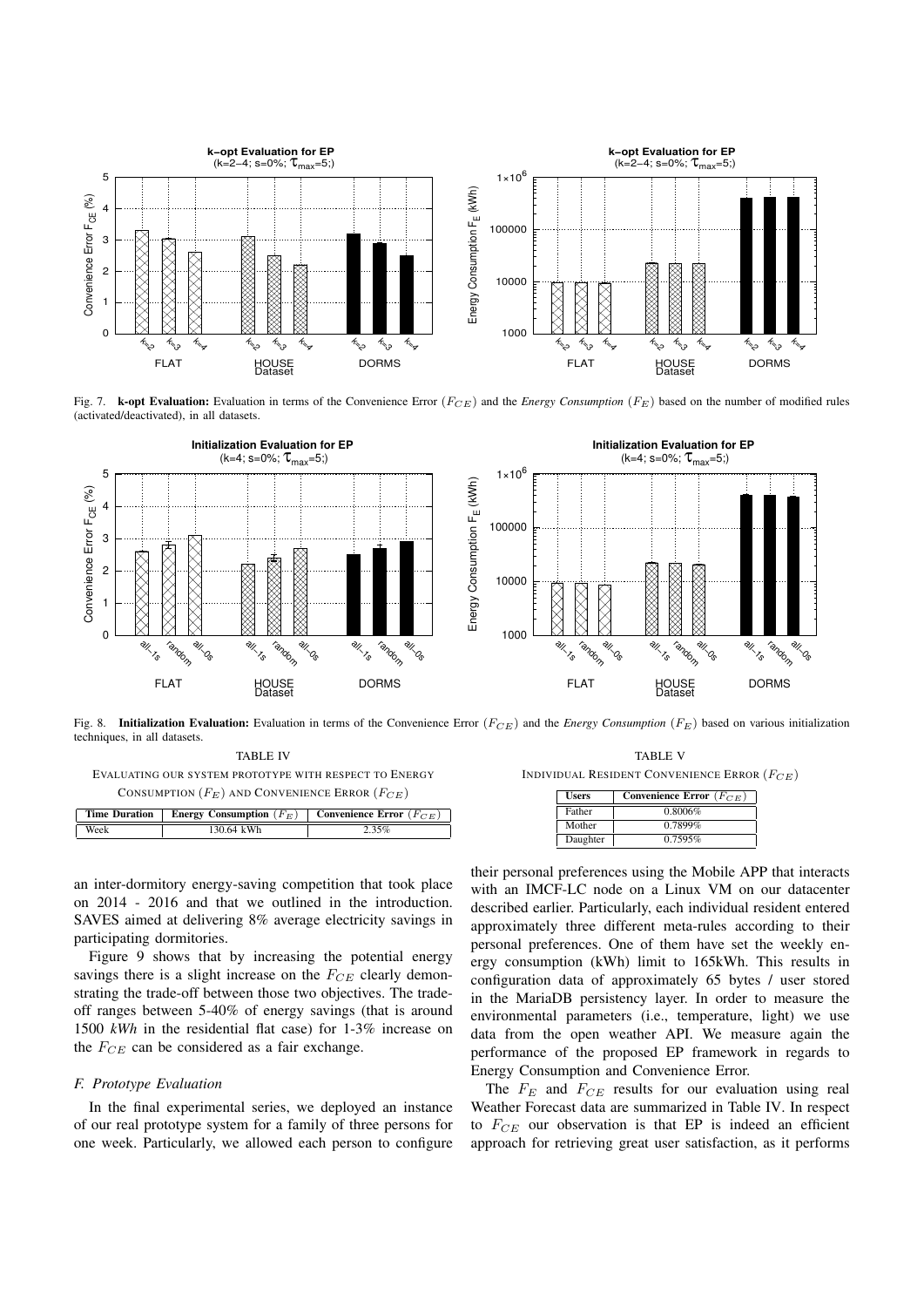

Fig. 7. k-opt Evaluation: Evaluation in terms of the Convenience Error (*FCE*) and the *Energy Consumption* (*FE*) based on the number of modified rules (activated/deactivated), in all datasets.



Fig. 8. Initialization Evaluation: Evaluation in terms of the Convenience Error (*FCE*) and the *Energy Consumption* (*FE*) based on various initialization techniques, in all datasets.

TABLE IV EVALUATING OUR SYSTEM PROTOTYPE WITH RESPECT TO ENERGY CONSUMPTION  $(F_E)$  AND CONVENIENCE ERROR  $(F_{CE})$ 

Time Duration | Energy Consumption  $(F_E)$  | Convenience Error  $(F_{CE})$ Week 130.64 kWh 2.35%

| <b>TABLE V</b>                                   |  |
|--------------------------------------------------|--|
| INDIVIDUAL RESIDENT CONVENIENCE ERROR $(F_{CE})$ |  |

their personal preferences using the Mobile APP that interacts

| <b>Users</b> | Convenience Error ( $F_{CE}$ ) |
|--------------|--------------------------------|
| Father       | 0.8006%                        |
| Mother       | 0.7899%                        |
| Daughter     | 0.7595%                        |

an inter-dormitory energy-saving competition that took place on 2014 - 2016 and that we outlined in the introduction. SAVES aimed at delivering 8% average electricity savings in participating dormitories.

Figure 9 shows that by increasing the potential energy savings there is a slight increase on the *FCE* clearly demonstrating the trade-off between those two objectives. The tradeoff ranges between 5-40% of energy savings (that is around 1500 *kWh* in the residential flat case) for 1-3% increase on the  $F_{CE}$  can be considered as a fair exchange.

#### *F. Prototype Evaluation*

In the final experimental series, we deployed an instance of our real prototype system for a family of three persons for one week. Particularly, we allowed each person to configure

with an IMCF-LC node on a Linux VM on our datacenter described earlier. Particularly, each individual resident entered approximately three different meta-rules according to their personal preferences. One of them have set the weekly energy consumption (kWh) limit to 165kWh. This results in configuration data of approximately 65 bytes / user stored in the MariaDB persistency layer. In order to measure the environmental parameters (i.e., temperature, light) we use data from the open weather API. We measure again the performance of the proposed EP framework in regards to Energy Consumption and Convenience Error.

The *F<sup>E</sup>* and *FCE* results for our evaluation using real Weather Forecast data are summarized in Table IV. In respect to *FCE* our observation is that EP is indeed an efficient approach for retrieving great user satisfaction, as it performs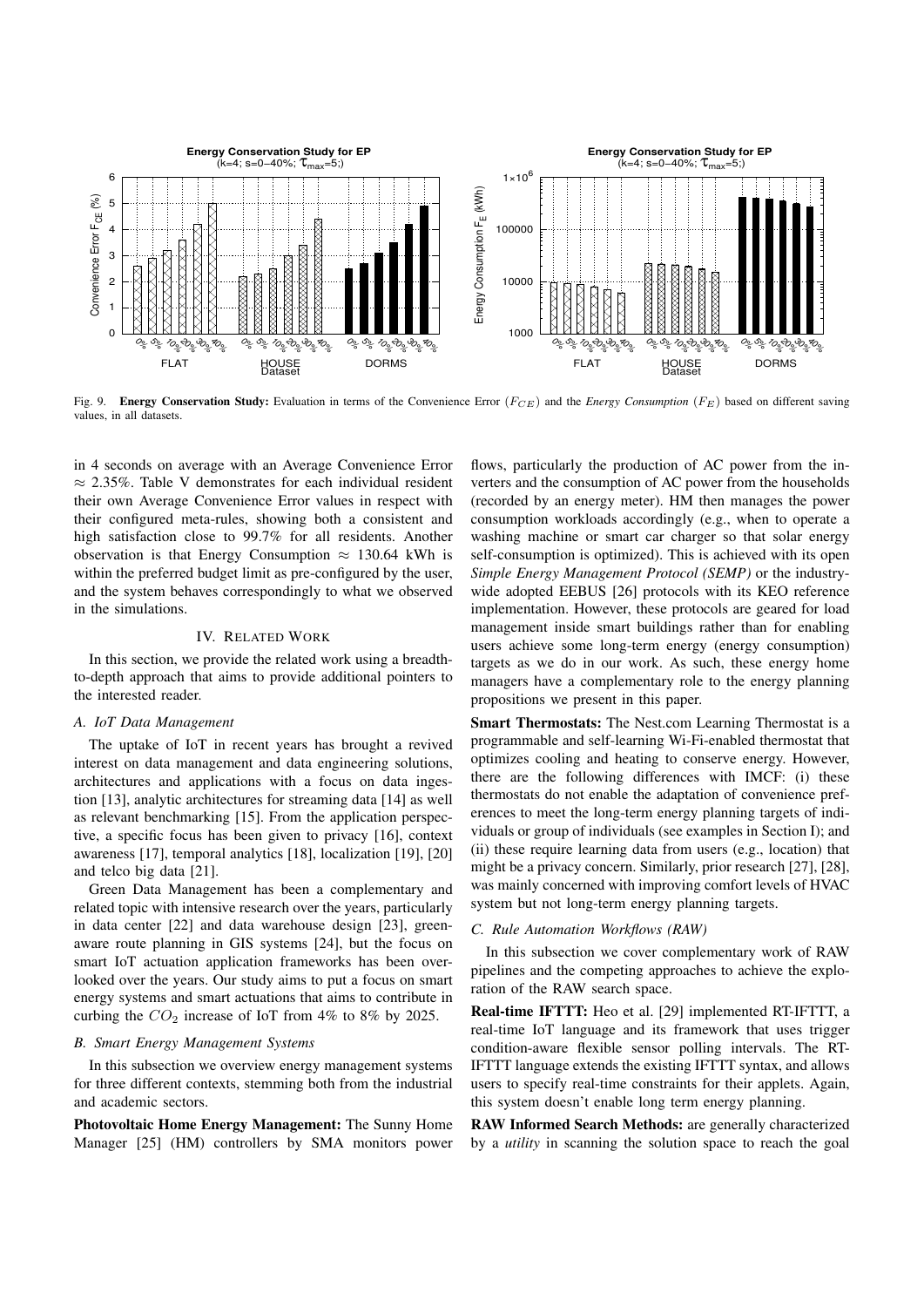

Fig. 9. Energy Conservation Study: Evaluation in terms of the Convenience Error (*FCE*) and the *Energy Consumption* (*FE*) based on different saving values, in all datasets.

in 4 seconds on average with an Average Convenience Error  $\approx$  2.35%. Table V demonstrates for each individual resident their own Average Convenience Error values in respect with their configured meta-rules, showing both a consistent and high satisfaction close to 99.7% for all residents. Another observation is that Energy Consumption  $\approx$  130.64 kWh is within the preferred budget limit as pre-configured by the user, and the system behaves correspondingly to what we observed in the simulations.

# IV. RELATED WORK

In this section, we provide the related work using a breadthto-depth approach that aims to provide additional pointers to the interested reader.

## *A. IoT Data Management*

The uptake of IoT in recent years has brought a revived interest on data management and data engineering solutions, architectures and applications with a focus on data ingestion [13], analytic architectures for streaming data [14] as well as relevant benchmarking [15]. From the application perspective, a specific focus has been given to privacy [16], context awareness [17], temporal analytics [18], localization [19], [20] and telco big data [21].

Green Data Management has been a complementary and related topic with intensive research over the years, particularly in data center [22] and data warehouse design [23], greenaware route planning in GIS systems [24], but the focus on smart IoT actuation application frameworks has been overlooked over the years. Our study aims to put a focus on smart energy systems and smart actuations that aims to contribute in curbing the  $CO_2$  increase of IoT from 4% to 8% by 2025.

## *B. Smart Energy Management Systems*

In this subsection we overview energy management systems for three different contexts, stemming both from the industrial and academic sectors.

Photovoltaic Home Energy Management: The Sunny Home Manager [25] (HM) controllers by SMA monitors power

flows, particularly the production of AC power from the inverters and the consumption of AC power from the households (recorded by an energy meter). HM then manages the power consumption workloads accordingly (e.g., when to operate a washing machine or smart car charger so that solar energy self-consumption is optimized). This is achieved with its open *Simple Energy Management Protocol (SEMP)* or the industrywide adopted EEBUS [26] protocols with its KEO reference implementation. However, these protocols are geared for load management inside smart buildings rather than for enabling users achieve some long-term energy (energy consumption) targets as we do in our work. As such, these energy home managers have a complementary role to the energy planning propositions we present in this paper.

Smart Thermostats: The Nest.com Learning Thermostat is a programmable and self-learning Wi-Fi-enabled thermostat that optimizes cooling and heating to conserve energy. However, there are the following differences with IMCF: (i) these thermostats do not enable the adaptation of convenience preferences to meet the long-term energy planning targets of individuals or group of individuals (see examples in Section I); and (ii) these require learning data from users (e.g., location) that might be a privacy concern. Similarly, prior research [27], [28], was mainly concerned with improving comfort levels of HVAC system but not long-term energy planning targets.

## *C. Rule Automation Workflows (RAW)*

In this subsection we cover complementary work of RAW pipelines and the competing approaches to achieve the exploration of the RAW search space.

Real-time IFTTT: Heo et al. [29] implemented RT-IFTTT, a real-time IoT language and its framework that uses trigger condition-aware flexible sensor polling intervals. The RT-IFTTT language extends the existing IFTTT syntax, and allows users to specify real-time constraints for their applets. Again, this system doesn't enable long term energy planning.

RAW Informed Search Methods: are generally characterized by a *utility* in scanning the solution space to reach the goal